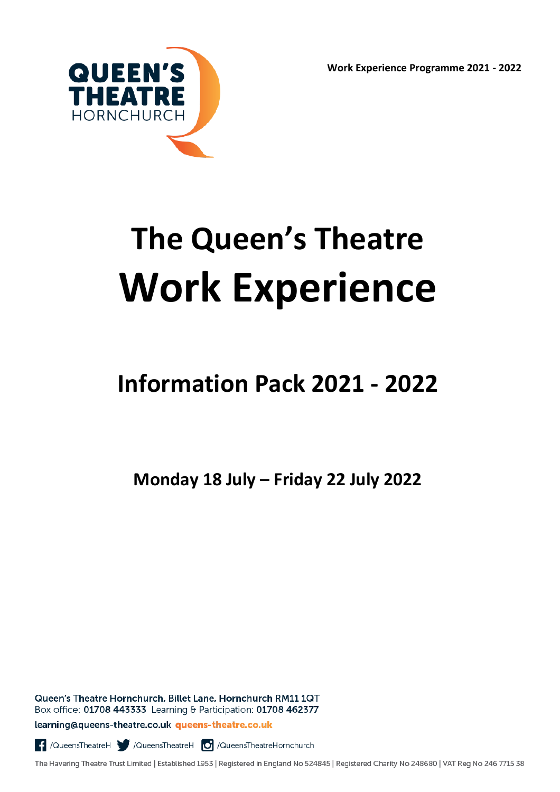**Work Experience Programme 2021 - 2022**



# **The Queen's Theatre Work Experience**

# **Information Pack 2021 - 2022**

**Monday 18 July – Friday 22 July 2022**

Queen's Theatre Hornchurch, Billet Lane, Hornchurch RM11 1QT Box office: 01708 443333 Learning & Participation: 01708 462377

learning@queens-theatre.co.uk queens-theatre.co.uk

QueensTheatreH | /QueensTheatreH | /QueensTheatreHornchurch

The Havering Theatre Trust Limited | Established 1953 | Registered in England No 524845 | Registered Charity No 248680 | VAT Reg No 246 7715 38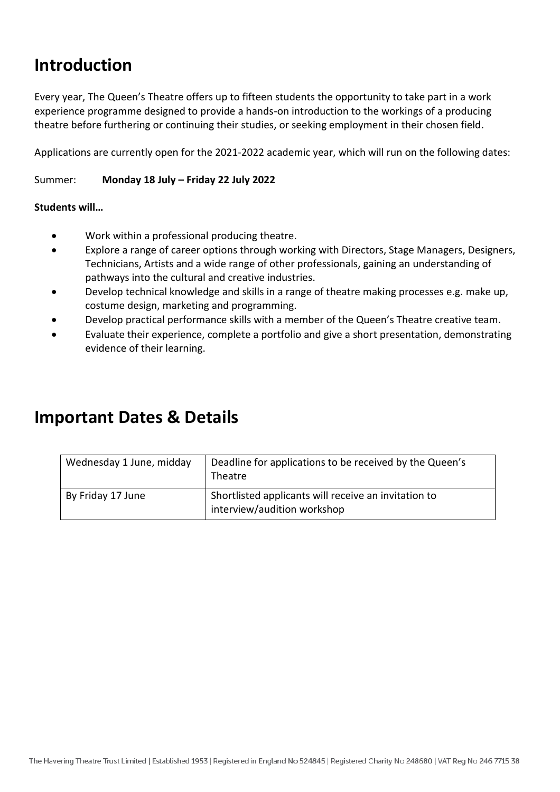## **Introduction**

Every year, The Queen's Theatre offers up to fifteen students the opportunity to take part in a work experience programme designed to provide a hands-on introduction to the workings of a producing theatre before furthering or continuing their studies, or seeking employment in their chosen field.

Applications are currently open for the 2021-2022 academic year, which will run on the following dates:

#### Summer: **Monday 18 July – Friday 22 July 2022**

#### **Students will…**

- Work within a professional producing theatre.
- Explore a range of career options through working with Directors, Stage Managers, Designers, Technicians, Artists and a wide range of other professionals, gaining an understanding of pathways into the cultural and creative industries.
- Develop technical knowledge and skills in a range of theatre making processes e.g. make up, costume design, marketing and programming.
- Develop practical performance skills with a member of the Queen's Theatre creative team.
- Evaluate their experience, complete a portfolio and give a short presentation, demonstrating evidence of their learning.

### **Important Dates & Details**

| Wednesday 1 June, midday | Deadline for applications to be received by the Queen's<br>Theatre                  |
|--------------------------|-------------------------------------------------------------------------------------|
| By Friday 17 June        | Shortlisted applicants will receive an invitation to<br>interview/audition workshop |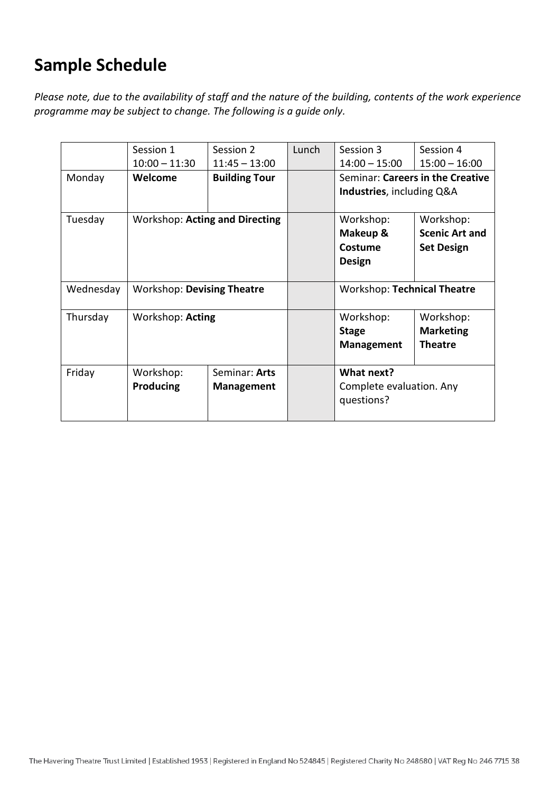# **Sample Schedule**

*Please note, due to the availability of staff and the nature of the building, contents of the work experience programme may be subject to change. The following is a guide only.*

|                                                  | Session 1                         | Session 2            | Lunch     | Session 3                          | Session 4             |  |
|--------------------------------------------------|-----------------------------------|----------------------|-----------|------------------------------------|-----------------------|--|
|                                                  | $10:00 - 11:30$                   | $11:45 - 13:00$      |           | $14:00 - 15:00$                    | $15:00 - 16:00$       |  |
| Monday                                           | Welcome                           | <b>Building Tour</b> |           | Seminar: Careers in the Creative   |                       |  |
|                                                  |                                   |                      |           | Industries, including Q&A          |                       |  |
| Tuesday<br><b>Workshop: Acting and Directing</b> |                                   |                      |           | Workshop:                          | Workshop:             |  |
|                                                  |                                   |                      |           | Makeup &                           | <b>Scenic Art and</b> |  |
|                                                  |                                   |                      |           | Costume                            | <b>Set Design</b>     |  |
|                                                  |                                   |                      |           | <b>Design</b>                      |                       |  |
|                                                  |                                   |                      |           |                                    |                       |  |
| Wednesday                                        | <b>Workshop: Devising Theatre</b> |                      |           | <b>Workshop: Technical Theatre</b> |                       |  |
| Thursday<br>Workshop: Acting                     |                                   |                      | Workshop: | Workshop:                          |                       |  |
|                                                  |                                   |                      |           | <b>Stage</b>                       | <b>Marketing</b>      |  |
|                                                  |                                   |                      |           | <b>Management</b>                  | <b>Theatre</b>        |  |
| Friday                                           | Workshop:                         | Seminar: Arts        |           | What next?                         |                       |  |
|                                                  | Producing                         | <b>Management</b>    |           | Complete evaluation. Any           |                       |  |
|                                                  |                                   |                      |           | questions?                         |                       |  |
|                                                  |                                   |                      |           |                                    |                       |  |